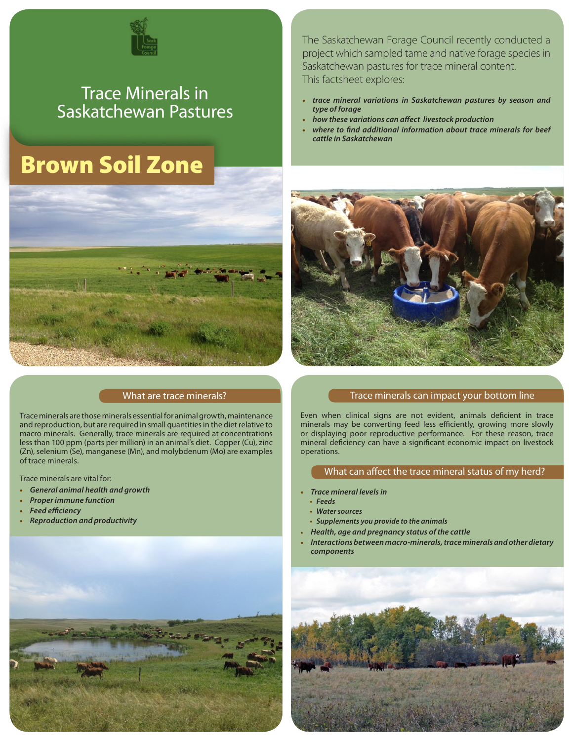

## Trace Minerals in Saskatchewan Pastures

# Brown Soil Zone



#### What are trace minerals?

Trace minerals are those minerals essential for animal growth, maintenance and reproduction, but are required in small quantities in the diet relative to macro minerals. Generally, trace minerals are required at concentrations less than 100 ppm (parts per million) in an animal's diet. Copper (Cu), zinc (Zn), selenium (Se), manganese (Mn), and molybdenum (Mo) are examples of trace minerals.

Trace minerals are vital for:

- **•** *General animal health and growth*
- **•** *Proper immune function*
- **•** *Feed efficiency*
- **•** *Reproduction and productivity*



The Saskatchewan Forage Council recently conducted a project which sampled tame and native forage species in Saskatchewan pastures for trace mineral content. This factsheet explores:

- **•** *trace mineral variations in Saskatchewan pastures by season and type of forage*
- **•** *how these variations can affect livestock production*
- **•** *where to find additional information about trace minerals for beef cattle in Saskatchewan*



#### Trace minerals can impact your bottom line

Even when clinical signs are not evident, animals deficient in trace minerals may be converting feed less efficiently, growing more slowly or displaying poor reproductive performance. For these reason, trace mineral deficiency can have a significant economic impact on livestock operations.

#### What can affect the trace mineral status of my herd?

- **•** *Trace mineral levels in*
- **•** *Feeds*
- **•** *Water sources*
- **•** *Supplements you provide to the animals*
- **•** *Health, age and pregnancy status of the cattle*
- **•** *Interactions between macro-minerals, trace minerals and other dietary components*